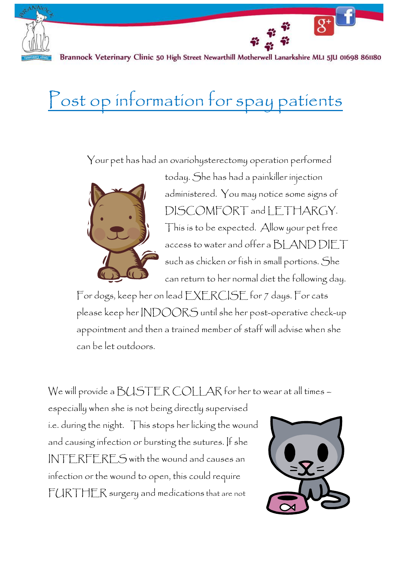

Brannock Veterinary Clinic 50 High Street Newarthill Motherwell Lanarkshire MLI 5JU 01698 861180

## Post op information for spay patients

Your pet has had an ovariohysterectomy operation performed



today. She has had a painkiller injection administered. You may notice some signs of DISCOMFORT and LETHARGY. This is to be expected. Allow your pet free access to water and offer a BLAND DIET such as chicken or fish in small portions. She can return to her normal diet the following day.

For dogs, keep her on lead EXERCISE for 7 days. For cats please keep her INDOORS until she her post-operative check-up appointment and then a trained member of staff will advise when she can be let outdoors.

We will provide a BUSTER COLLAR for her to wear at all times -

especially when she is not being directly supervised i.e. during the night. This stops her licking the wound and causing infection or bursting the sutures. If she INTERFERES with the wound and causes an infection or the wound to open, this could require FURTHER surgery and medications that are not